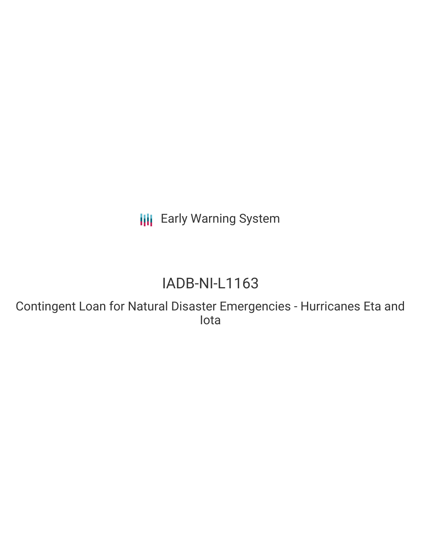**III** Early Warning System

# IADB-NI-L1163

Contingent Loan for Natural Disaster Emergencies - Hurricanes Eta and Iota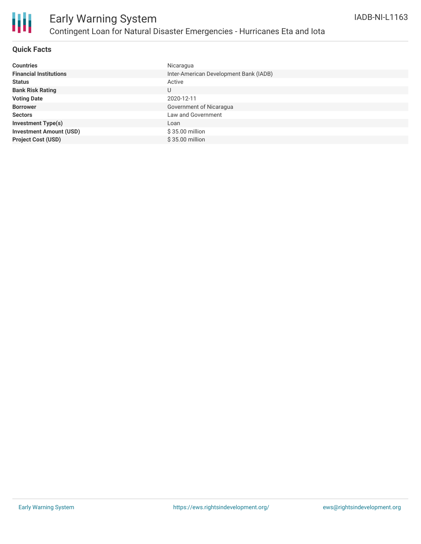

## **Quick Facts**

| <b>Countries</b>               | Nicaragua                              |
|--------------------------------|----------------------------------------|
| <b>Financial Institutions</b>  | Inter-American Development Bank (IADB) |
| <b>Status</b>                  | Active                                 |
| <b>Bank Risk Rating</b>        | U                                      |
| <b>Voting Date</b>             | 2020-12-11                             |
| <b>Borrower</b>                | Government of Nicaragua                |
| <b>Sectors</b>                 | Law and Government                     |
| <b>Investment Type(s)</b>      | Loan                                   |
| <b>Investment Amount (USD)</b> | $$35.00$ million                       |
| <b>Project Cost (USD)</b>      | \$35.00 million                        |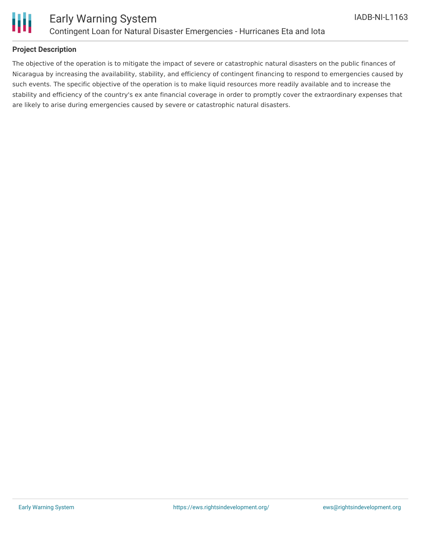

## **Project Description**

The objective of the operation is to mitigate the impact of severe or catastrophic natural disasters on the public finances of Nicaragua by increasing the availability, stability, and efficiency of contingent financing to respond to emergencies caused by such events. The specific objective of the operation is to make liquid resources more readily available and to increase the stability and efficiency of the country's ex ante financial coverage in order to promptly cover the extraordinary expenses that are likely to arise during emergencies caused by severe or catastrophic natural disasters.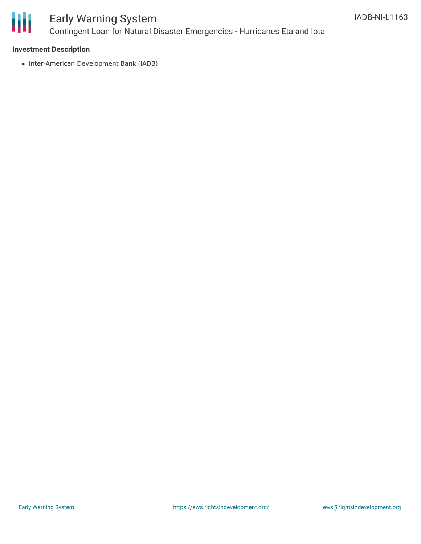

# Early Warning System Contingent Loan for Natural Disaster Emergencies - Hurricanes Eta and Iota

### **Investment Description**

• Inter-American Development Bank (IADB)